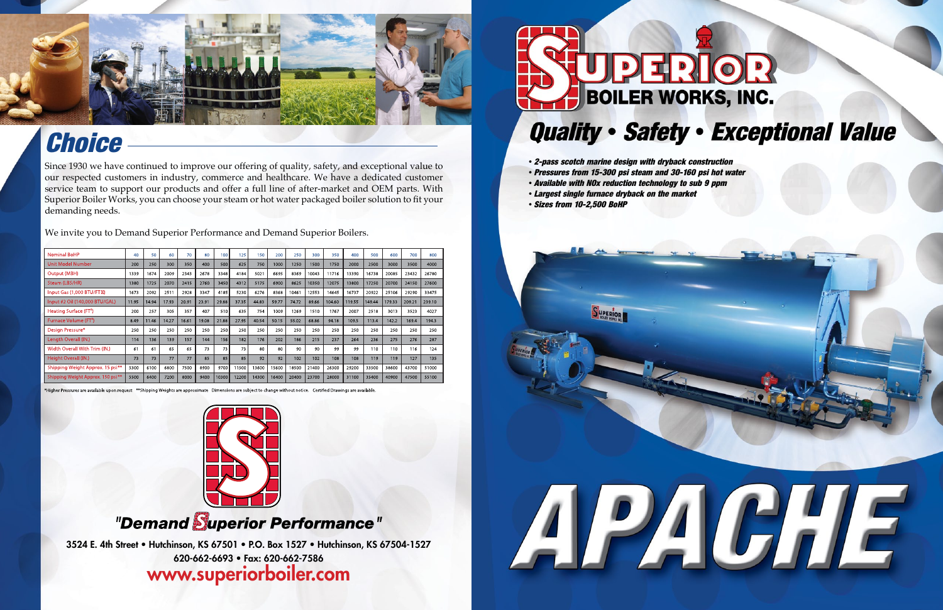3524 E. 4th Street • Hutchinson, KS 67501 • P.O. Box 1527 • Hutchinson, KS 67504-1527 620-662-6693 • Fax: 620-662-7586

### www.superiorboiler.com



- *2-pass scotch marine design with dryback construction*
- *Pressures from 15-300 psi steam and 30-160 psi hot water*
- *Available with NOx reduction technology to sub 9 ppm*
- *Largest single furnace dryback on the market*
- *Sizes from 10-2,500 BoHP*





# *Choice*

Since 1930 we have continued to improve our offering of quality, safety, and exceptional value to our respected customers in industry, commerce and healthcare. We have a dedicated customer service team to support our products and offer a full line of after-market and OEM parts. With Superior Boiler Works, you can choose your steam or hot water packaged boiler solution to fit your demanding needs.

We invite you to Demand Superior Performance and Demand Superior Boilers.

| <b>Nominal BoHP</b>                | 40    | 50    | 60    | 70    | 80    | 100   | 125   | 150   | 200   | 250   | 300   | 350    | 400    | 500    | 600    | 700    | 800    |
|------------------------------------|-------|-------|-------|-------|-------|-------|-------|-------|-------|-------|-------|--------|--------|--------|--------|--------|--------|
| <b>Unit Model Number</b>           | 200   | 250   | 300   | 350   | 400   | 500   | 625   | 750   | 1000  | 1250  | 1500  | 1750   | 2000   | 2500   | 3000   | 3500   | 4000   |
| Output (MBH)                       | 1339  | 1674  | 2009  | 2343  | 2678  | 3348  | 4184  | 5021  | 6695  | 8369  | 10043 | 11716  | 13390  | 16738  | 20085  | 23432  | 26780  |
| Steam (LBS/HR)                     | 1380  | 1725  | 2070  | 2415  | 2760  | 3450  | 4312  | 5175  | 6900  | 8625  | 10350 | 12075  | 13800  | 17250  | 20700  | 24150  | 27600  |
| Input Gas (1,000 BTU/FTM)          | 1673  | 2092  | 2511  | 2928  | 3347  | 4185  | 5230  | 6276  | 8368  | 10461 | 12553 | 14645  | 16737  | 20922  | 25106  | 29290  | 33475  |
| Input #2 Oil (140,000 BTU/GAL)     | 11.95 | 14.94 | 17.93 | 20.91 | 23.91 | 29.88 | 37.35 | 44.83 | 59.77 | 74.72 | 89.66 | 104.60 | 119.55 | 149.44 | 179.33 | 209.21 | 239.10 |
| Heating Surface (FT <sup>2</sup> ) | 200   | 257   | 305   | 357   | 407   | 510   | 635   | 754   | 1009  | 1269  | 1510  | 1767   | 2007   | 2518   | 3013   | 3523   | 4027   |
| Furnace Volume (FT <sup>3</sup> )  | 8.49  | 11.46 | 14.27 | 16.61 | 19.08 | 21.88 | 27.95 | 40.54 | 50.15 | 55.02 | 68.86 | 94.18  | 109.5  | 113.4  | 142.2  | 169.4  | 194.3  |
| Design Pressure*                   | 250   | 250   | 250   | 250   | 250   | 250   | 250   | 250   | 250   | 250   | 250   | 250    | 250    | 250    | 250    | 250    | 250    |
| Length Overall (IN.)               | 114   | 136   | 139   | 157   | 144   | 156   | 182   | 176   | 202   | 186   | 215   | 237    | 264    | 236    | 275    | 276    | 287    |
| Width Overall With Trim (IN.)      | 61    | 61    | 65    | 65    | 73    | 73    | 73    | 80    | 80    | 90    | 90    | 99     | 99     | 110    | 110    | 116    | 124    |
| Height Overall (IN.)               | 73    | 73    | 77    | 77    | 85    | 85    | 85    | 92    | 92    | 102   | 102   | 108    | 108    | 119    | 119    | 127    | 135    |
| Shipping Weight Approx. 15 psi**   | 5300  | 6100  | 6800  | 7500  | 8900  | 9700  | 11500 | 13600 | 15600 | 18500 | 21400 | 26300  | 29200  | 33500  | 38600  | 43700  | 51000  |
| Shipping Weight Approx. 150 psi**  | 5500  | 6400  | 7200  | 8000  | 9400  | 10300 | 12200 | 14300 | 16400 | 20400 | 23700 | 28000  | 31100  | 35400  | 40900  | 47500  | 55100  |

\*Higher Pressures are available upon request \*\*Shipping Weights are approximate Dimensions are subject to change without notice. Certified Drawings are available



### "Demand Superior Performance"